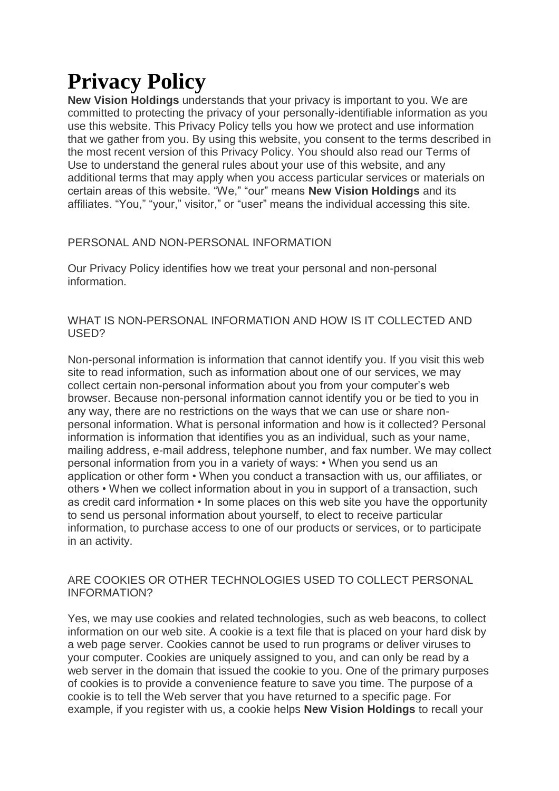# **Privacy Policy**

**New Vision Holdings** understands that your privacy is important to you. We are committed to protecting the privacy of your personally-identifiable information as you use this website. This Privacy Policy tells you how we protect and use information that we gather from you. By using this website, you consent to the terms described in the most recent version of this Privacy Policy. You should also read our Terms of Use to understand the general rules about your use of this website, and any additional terms that may apply when you access particular services or materials on certain areas of this website. "We," "our" means **New Vision Holdings** and its affiliates. "You," "your," visitor," or "user" means the individual accessing this site.

# PERSONAL AND NON-PERSONAL INFORMATION

Our Privacy Policy identifies how we treat your personal and non-personal information.

## WHAT IS NON-PERSONAL INFORMATION AND HOW IS IT COLLECTED AND USED?

Non-personal information is information that cannot identify you. If you visit this web site to read information, such as information about one of our services, we may collect certain non-personal information about you from your computer's web browser. Because non-personal information cannot identify you or be tied to you in any way, there are no restrictions on the ways that we can use or share nonpersonal information. What is personal information and how is it collected? Personal information is information that identifies you as an individual, such as your name, mailing address, e-mail address, telephone number, and fax number. We may collect personal information from you in a variety of ways: • When you send us an application or other form • When you conduct a transaction with us, our affiliates, or others • When we collect information about in you in support of a transaction, such as credit card information • In some places on this web site you have the opportunity to send us personal information about yourself, to elect to receive particular information, to purchase access to one of our products or services, or to participate in an activity.

## ARE COOKIES OR OTHER TECHNOLOGIES USED TO COLLECT PERSONAL INFORMATION?

Yes, we may use cookies and related technologies, such as web beacons, to collect information on our web site. A cookie is a text file that is placed on your hard disk by a web page server. Cookies cannot be used to run programs or deliver viruses to your computer. Cookies are uniquely assigned to you, and can only be read by a web server in the domain that issued the cookie to you. One of the primary purposes of cookies is to provide a convenience feature to save you time. The purpose of a cookie is to tell the Web server that you have returned to a specific page. For example, if you register with us, a cookie helps **New Vision Holdings** to recall your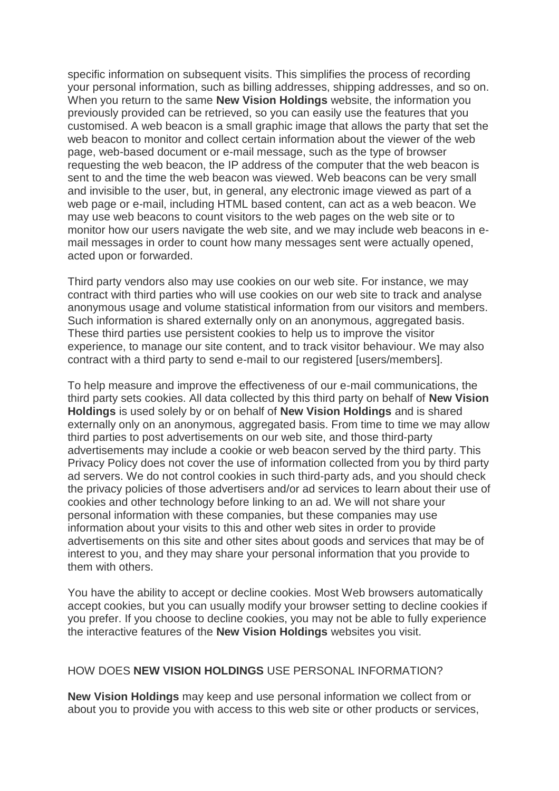specific information on subsequent visits. This simplifies the process of recording your personal information, such as billing addresses, shipping addresses, and so on. When you return to the same **New Vision Holdings** website, the information you previously provided can be retrieved, so you can easily use the features that you customised. A web beacon is a small graphic image that allows the party that set the web beacon to monitor and collect certain information about the viewer of the web page, web-based document or e-mail message, such as the type of browser requesting the web beacon, the IP address of the computer that the web beacon is sent to and the time the web beacon was viewed. Web beacons can be very small and invisible to the user, but, in general, any electronic image viewed as part of a web page or e-mail, including HTML based content, can act as a web beacon. We may use web beacons to count visitors to the web pages on the web site or to monitor how our users navigate the web site, and we may include web beacons in email messages in order to count how many messages sent were actually opened, acted upon or forwarded.

Third party vendors also may use cookies on our web site. For instance, we may contract with third parties who will use cookies on our web site to track and analyse anonymous usage and volume statistical information from our visitors and members. Such information is shared externally only on an anonymous, aggregated basis. These third parties use persistent cookies to help us to improve the visitor experience, to manage our site content, and to track visitor behaviour. We may also contract with a third party to send e-mail to our registered [users/members].

To help measure and improve the effectiveness of our e-mail communications, the third party sets cookies. All data collected by this third party on behalf of **New Vision Holdings** is used solely by or on behalf of **New Vision Holdings** and is shared externally only on an anonymous, aggregated basis. From time to time we may allow third parties to post advertisements on our web site, and those third-party advertisements may include a cookie or web beacon served by the third party. This Privacy Policy does not cover the use of information collected from you by third party ad servers. We do not control cookies in such third-party ads, and you should check the privacy policies of those advertisers and/or ad services to learn about their use of cookies and other technology before linking to an ad. We will not share your personal information with these companies, but these companies may use information about your visits to this and other web sites in order to provide advertisements on this site and other sites about goods and services that may be of interest to you, and they may share your personal information that you provide to them with others.

You have the ability to accept or decline cookies. Most Web browsers automatically accept cookies, but you can usually modify your browser setting to decline cookies if you prefer. If you choose to decline cookies, you may not be able to fully experience the interactive features of the **New Vision Holdings** websites you visit.

#### HOW DOES **NEW VISION HOLDINGS** USE PERSONAL INFORMATION?

**New Vision Holdings** may keep and use personal information we collect from or about you to provide you with access to this web site or other products or services,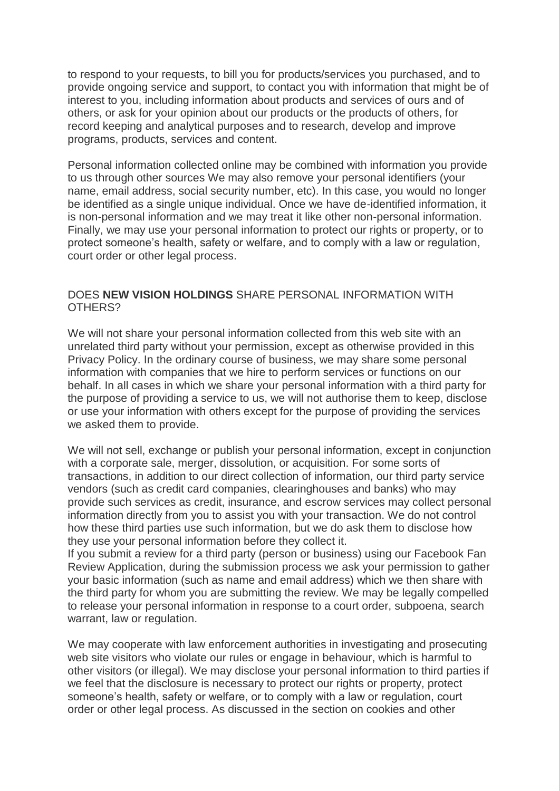to respond to your requests, to bill you for products/services you purchased, and to provide ongoing service and support, to contact you with information that might be of interest to you, including information about products and services of ours and of others, or ask for your opinion about our products or the products of others, for record keeping and analytical purposes and to research, develop and improve programs, products, services and content.

Personal information collected online may be combined with information you provide to us through other sources We may also remove your personal identifiers (your name, email address, social security number, etc). In this case, you would no longer be identified as a single unique individual. Once we have de-identified information, it is non-personal information and we may treat it like other non-personal information. Finally, we may use your personal information to protect our rights or property, or to protect someone's health, safety or welfare, and to comply with a law or regulation, court order or other legal process.

#### DOES **NEW VISION HOLDINGS** SHARE PERSONAL INFORMATION WITH OTHERS?

We will not share your personal information collected from this web site with an unrelated third party without your permission, except as otherwise provided in this Privacy Policy. In the ordinary course of business, we may share some personal information with companies that we hire to perform services or functions on our behalf. In all cases in which we share your personal information with a third party for the purpose of providing a service to us, we will not authorise them to keep, disclose or use your information with others except for the purpose of providing the services we asked them to provide.

We will not sell, exchange or publish your personal information, except in conjunction with a corporate sale, merger, dissolution, or acquisition. For some sorts of transactions, in addition to our direct collection of information, our third party service vendors (such as credit card companies, clearinghouses and banks) who may provide such services as credit, insurance, and escrow services may collect personal information directly from you to assist you with your transaction. We do not control how these third parties use such information, but we do ask them to disclose how they use your personal information before they collect it.

If you submit a review for a third party (person or business) using our Facebook Fan Review Application, during the submission process we ask your permission to gather your basic information (such as name and email address) which we then share with the third party for whom you are submitting the review. We may be legally compelled to release your personal information in response to a court order, subpoena, search warrant, law or regulation.

We may cooperate with law enforcement authorities in investigating and prosecuting web site visitors who violate our rules or engage in behaviour, which is harmful to other visitors (or illegal). We may disclose your personal information to third parties if we feel that the disclosure is necessary to protect our rights or property, protect someone's health, safety or welfare, or to comply with a law or regulation, court order or other legal process. As discussed in the section on cookies and other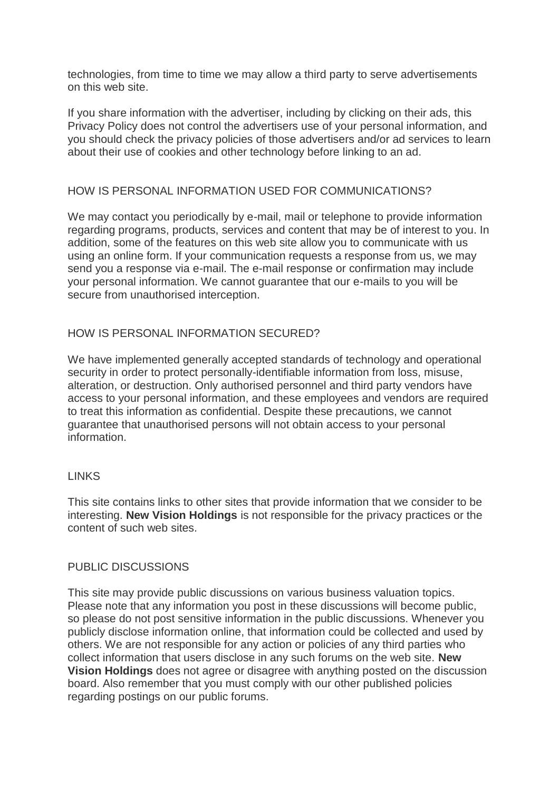technologies, from time to time we may allow a third party to serve advertisements on this web site.

If you share information with the advertiser, including by clicking on their ads, this Privacy Policy does not control the advertisers use of your personal information, and you should check the privacy policies of those advertisers and/or ad services to learn about their use of cookies and other technology before linking to an ad.

## HOW IS PERSONAL INFORMATION USED FOR COMMUNICATIONS?

We may contact you periodically by e-mail, mail or telephone to provide information regarding programs, products, services and content that may be of interest to you. In addition, some of the features on this web site allow you to communicate with us using an online form. If your communication requests a response from us, we may send you a response via e-mail. The e-mail response or confirmation may include your personal information. We cannot guarantee that our e-mails to you will be secure from unauthorised interception.

## HOW IS PERSONAL INFORMATION SECURED?

We have implemented generally accepted standards of technology and operational security in order to protect personally-identifiable information from loss, misuse, alteration, or destruction. Only authorised personnel and third party vendors have access to your personal information, and these employees and vendors are required to treat this information as confidential. Despite these precautions, we cannot guarantee that unauthorised persons will not obtain access to your personal information.

## LINKS

This site contains links to other sites that provide information that we consider to be interesting. **New Vision Holdings** is not responsible for the privacy practices or the content of such web sites.

## PUBLIC DISCUSSIONS

This site may provide public discussions on various business valuation topics. Please note that any information you post in these discussions will become public, so please do not post sensitive information in the public discussions. Whenever you publicly disclose information online, that information could be collected and used by others. We are not responsible for any action or policies of any third parties who collect information that users disclose in any such forums on the web site. **New Vision Holdings** does not agree or disagree with anything posted on the discussion board. Also remember that you must comply with our other published policies regarding postings on our public forums.